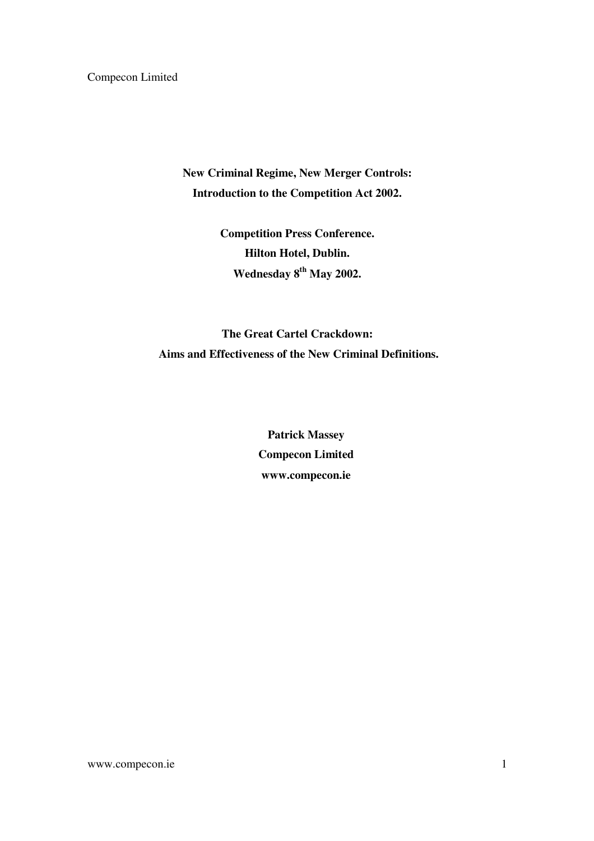**New Criminal Regime, New Merger Controls: Introduction to the Competition Act 2002.** 

> **Competition Press Conference. Hilton Hotel, Dublin. Wednesday 8th May 2002.**

**The Great Cartel Crackdown: Aims and Effectiveness of the New Criminal Definitions.** 

> **Patrick Massey Compecon Limited www.compecon.ie**

www.compecon.ie 1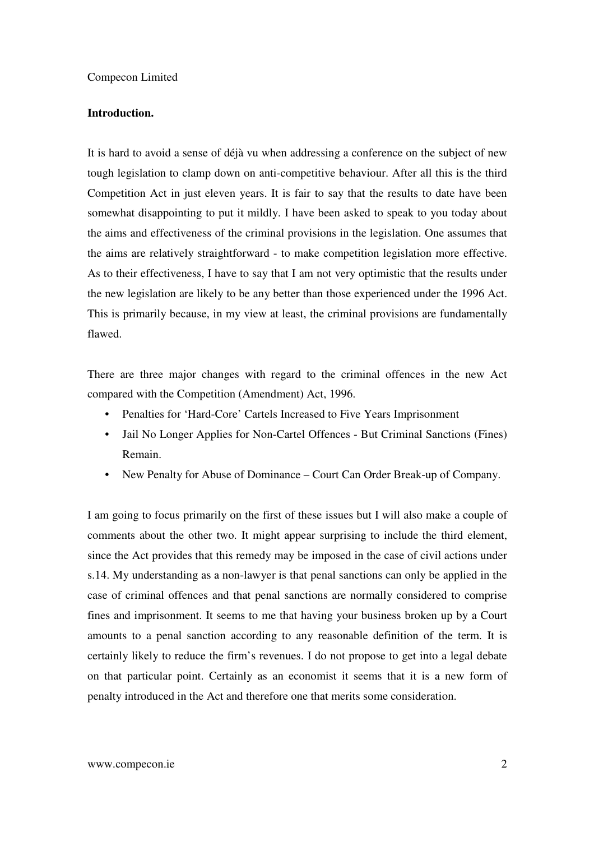## **Introduction.**

It is hard to avoid a sense of déjà vu when addressing a conference on the subject of new tough legislation to clamp down on anti-competitive behaviour. After all this is the third Competition Act in just eleven years. It is fair to say that the results to date have been somewhat disappointing to put it mildly. I have been asked to speak to you today about the aims and effectiveness of the criminal provisions in the legislation. One assumes that the aims are relatively straightforward - to make competition legislation more effective. As to their effectiveness, I have to say that I am not very optimistic that the results under the new legislation are likely to be any better than those experienced under the 1996 Act. This is primarily because, in my view at least, the criminal provisions are fundamentally flawed.

There are three major changes with regard to the criminal offences in the new Act compared with the Competition (Amendment) Act, 1996.

- Penalties for 'Hard-Core' Cartels Increased to Five Years Imprisonment
- Jail No Longer Applies for Non-Cartel Offences But Criminal Sanctions (Fines) Remain.
- New Penalty for Abuse of Dominance Court Can Order Break-up of Company.

I am going to focus primarily on the first of these issues but I will also make a couple of comments about the other two. It might appear surprising to include the third element, since the Act provides that this remedy may be imposed in the case of civil actions under s.14. My understanding as a non-lawyer is that penal sanctions can only be applied in the case of criminal offences and that penal sanctions are normally considered to comprise fines and imprisonment. It seems to me that having your business broken up by a Court amounts to a penal sanction according to any reasonable definition of the term. It is certainly likely to reduce the firm's revenues. I do not propose to get into a legal debate on that particular point. Certainly as an economist it seems that it is a new form of penalty introduced in the Act and therefore one that merits some consideration.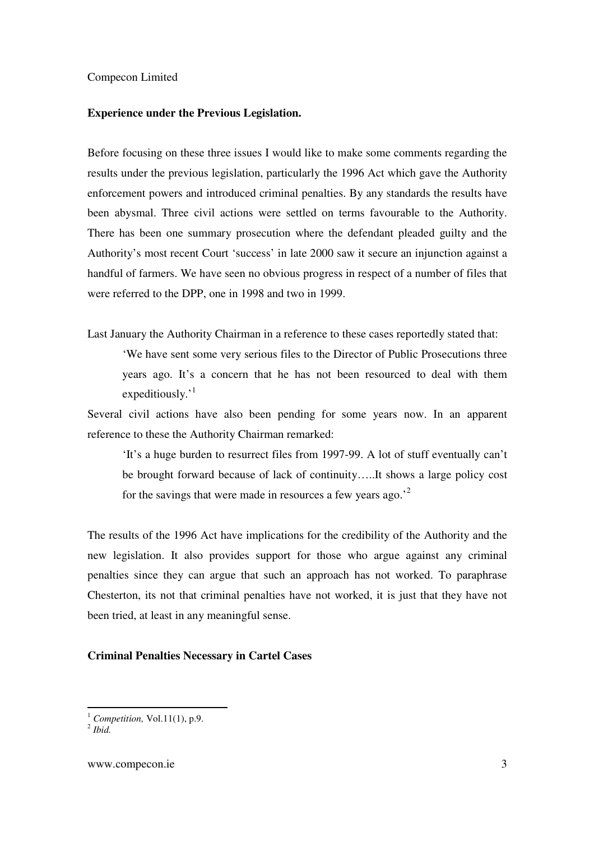## **Experience under the Previous Legislation.**

Before focusing on these three issues I would like to make some comments regarding the results under the previous legislation, particularly the 1996 Act which gave the Authority enforcement powers and introduced criminal penalties. By any standards the results have been abysmal. Three civil actions were settled on terms favourable to the Authority. There has been one summary prosecution where the defendant pleaded guilty and the Authority's most recent Court 'success' in late 2000 saw it secure an injunction against a handful of farmers. We have seen no obvious progress in respect of a number of files that were referred to the DPP, one in 1998 and two in 1999.

Last January the Authority Chairman in a reference to these cases reportedly stated that:

'We have sent some very serious files to the Director of Public Prosecutions three years ago. It's a concern that he has not been resourced to deal with them expeditiously.<sup>1</sup>

Several civil actions have also been pending for some years now. In an apparent reference to these the Authority Chairman remarked:

'It's a huge burden to resurrect files from 1997-99. A lot of stuff eventually can't be brought forward because of lack of continuity…..It shows a large policy cost for the savings that were made in resources a few years ago.'<sup>2</sup>

The results of the 1996 Act have implications for the credibility of the Authority and the new legislation. It also provides support for those who argue against any criminal penalties since they can argue that such an approach has not worked. To paraphrase Chesterton, its not that criminal penalties have not worked, it is just that they have not been tried, at least in any meaningful sense.

## **Criminal Penalties Necessary in Cartel Cases**

-

<sup>1</sup> *Competition,* Vol.11(1), p.9.

<sup>2</sup> *Ibid.*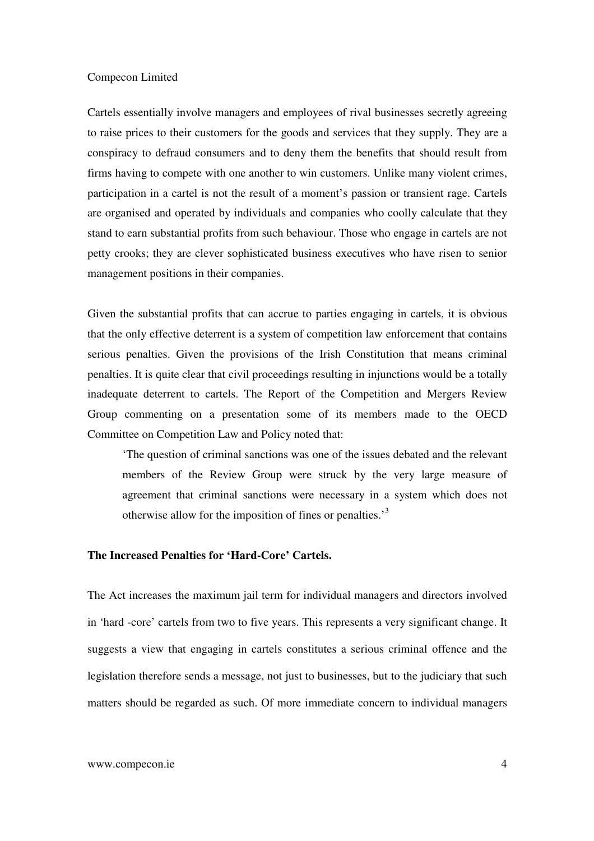Cartels essentially involve managers and employees of rival businesses secretly agreeing to raise prices to their customers for the goods and services that they supply. They are a conspiracy to defraud consumers and to deny them the benefits that should result from firms having to compete with one another to win customers. Unlike many violent crimes, participation in a cartel is not the result of a moment's passion or transient rage. Cartels are organised and operated by individuals and companies who coolly calculate that they stand to earn substantial profits from such behaviour. Those who engage in cartels are not petty crooks; they are clever sophisticated business executives who have risen to senior management positions in their companies.

Given the substantial profits that can accrue to parties engaging in cartels, it is obvious that the only effective deterrent is a system of competition law enforcement that contains serious penalties. Given the provisions of the Irish Constitution that means criminal penalties. It is quite clear that civil proceedings resulting in injunctions would be a totally inadequate deterrent to cartels. The Report of the Competition and Mergers Review Group commenting on a presentation some of its members made to the OECD Committee on Competition Law and Policy noted that:

'The question of criminal sanctions was one of the issues debated and the relevant members of the Review Group were struck by the very large measure of agreement that criminal sanctions were necessary in a system which does not otherwise allow for the imposition of fines or penalties.'<sup>3</sup>

# **The Increased Penalties for 'Hard-Core' Cartels.**

The Act increases the maximum jail term for individual managers and directors involved in 'hard -core' cartels from two to five years. This represents a very significant change. It suggests a view that engaging in cartels constitutes a serious criminal offence and the legislation therefore sends a message, not just to businesses, but to the judiciary that such matters should be regarded as such. Of more immediate concern to individual managers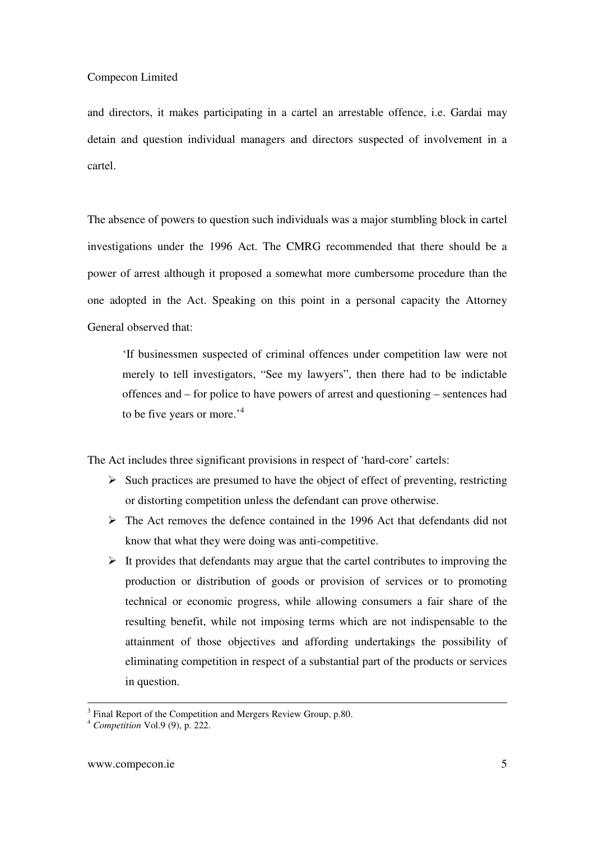and directors, it makes participating in a cartel an arrestable offence, i.e. Gardai may detain and question individual managers and directors suspected of involvement in a cartel.

The absence of powers to question such individuals was a major stumbling block in cartel investigations under the 1996 Act. The CMRG recommended that there should be a power of arrest although it proposed a somewhat more cumbersome procedure than the one adopted in the Act. Speaking on this point in a personal capacity the Attorney General observed that:

'If businessmen suspected of criminal offences under competition law were not merely to tell investigators, "See my lawyers", then there had to be indictable offences and – for police to have powers of arrest and questioning – sentences had to be five years or more.<sup>4</sup>

The Act includes three significant provisions in respect of 'hard-core' cartels:

- $\triangleright$  Such practices are presumed to have the object of effect of preventing, restricting or distorting competition unless the defendant can prove otherwise.
- $\triangleright$  The Act removes the defence contained in the 1996 Act that defendants did not know that what they were doing was anti-competitive.
- $\triangleright$  It provides that defendants may argue that the cartel contributes to improving the production or distribution of goods or provision of services or to promoting technical or economic progress, while allowing consumers a fair share of the resulting benefit, while not imposing terms which are not indispensable to the attainment of those objectives and affording undertakings the possibility of eliminating competition in respect of a substantial part of the products or services in question.

l

<sup>&</sup>lt;sup>3</sup> Final Report of the Competition and Mergers Review Group, p.80.

<sup>4</sup> *Competition* Vol.9 (9), p. 222.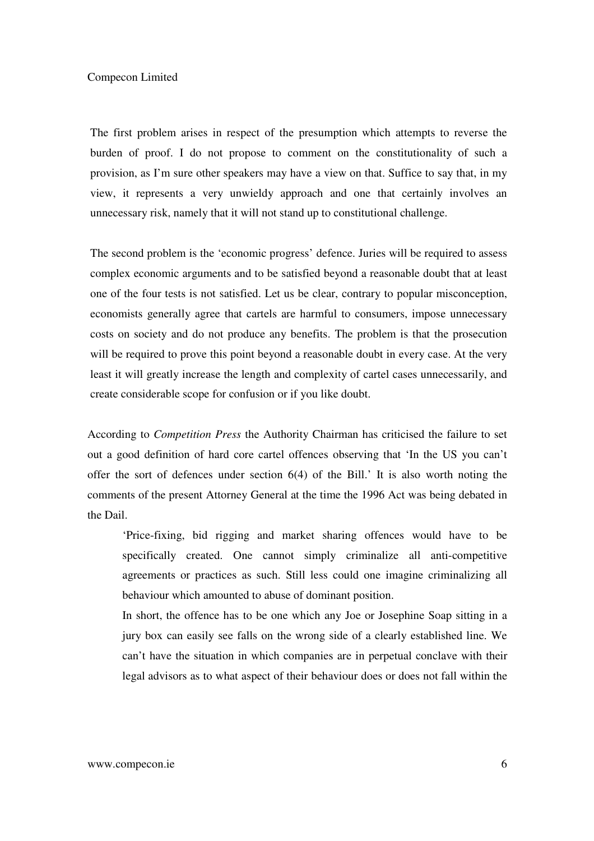The first problem arises in respect of the presumption which attempts to reverse the burden of proof. I do not propose to comment on the constitutionality of such a provision, as I'm sure other speakers may have a view on that. Suffice to say that, in my view, it represents a very unwieldy approach and one that certainly involves an unnecessary risk, namely that it will not stand up to constitutional challenge.

The second problem is the 'economic progress' defence. Juries will be required to assess complex economic arguments and to be satisfied beyond a reasonable doubt that at least one of the four tests is not satisfied. Let us be clear, contrary to popular misconception, economists generally agree that cartels are harmful to consumers, impose unnecessary costs on society and do not produce any benefits. The problem is that the prosecution will be required to prove this point beyond a reasonable doubt in every case. At the very least it will greatly increase the length and complexity of cartel cases unnecessarily, and create considerable scope for confusion or if you like doubt.

According to *Competition Press* the Authority Chairman has criticised the failure to set out a good definition of hard core cartel offences observing that 'In the US you can't offer the sort of defences under section 6(4) of the Bill.' It is also worth noting the comments of the present Attorney General at the time the 1996 Act was being debated in the Dail.

'Price-fixing, bid rigging and market sharing offences would have to be specifically created. One cannot simply criminalize all anti-competitive agreements or practices as such. Still less could one imagine criminalizing all behaviour which amounted to abuse of dominant position.

In short, the offence has to be one which any Joe or Josephine Soap sitting in a jury box can easily see falls on the wrong side of a clearly established line. We can't have the situation in which companies are in perpetual conclave with their legal advisors as to what aspect of their behaviour does or does not fall within the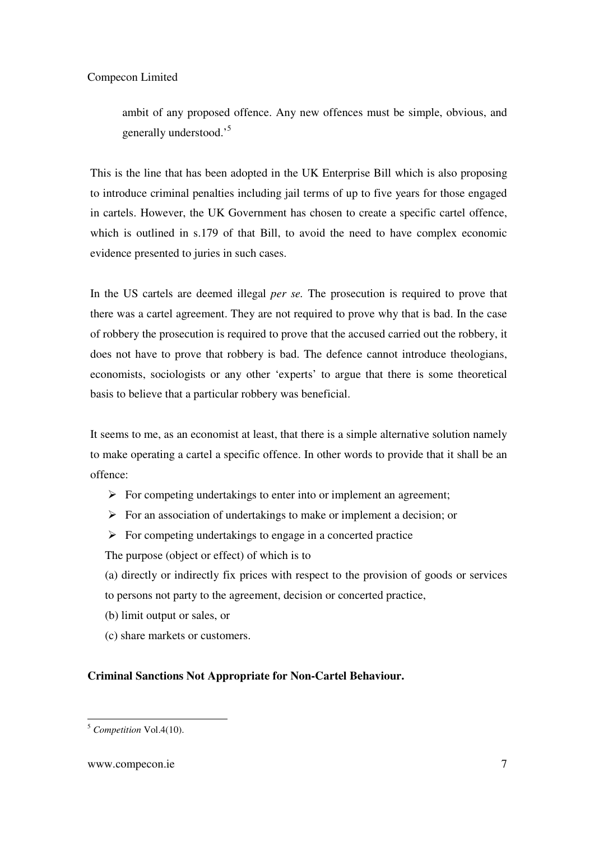ambit of any proposed offence. Any new offences must be simple, obvious, and generally understood.'<sup>5</sup>

This is the line that has been adopted in the UK Enterprise Bill which is also proposing to introduce criminal penalties including jail terms of up to five years for those engaged in cartels. However, the UK Government has chosen to create a specific cartel offence, which is outlined in s.179 of that Bill, to avoid the need to have complex economic evidence presented to juries in such cases.

In the US cartels are deemed illegal *per se.* The prosecution is required to prove that there was a cartel agreement. They are not required to prove why that is bad. In the case of robbery the prosecution is required to prove that the accused carried out the robbery, it does not have to prove that robbery is bad. The defence cannot introduce theologians, economists, sociologists or any other 'experts' to argue that there is some theoretical basis to believe that a particular robbery was beneficial.

It seems to me, as an economist at least, that there is a simple alternative solution namely to make operating a cartel a specific offence. In other words to provide that it shall be an offence:

- $\triangleright$  For competing undertakings to enter into or implement an agreement;
- $\triangleright$  For an association of undertakings to make or implement a decision; or
- $\triangleright$  For competing undertakings to engage in a concerted practice

The purpose (object or effect) of which is to

- (a) directly or indirectly fix prices with respect to the provision of goods or services to persons not party to the agreement, decision or concerted practice,
- (b) limit output or sales, or
- (c) share markets or customers.

# **Criminal Sanctions Not Appropriate for Non-Cartel Behaviour.**

<sup>-</sup><sup>5</sup> *Competition* Vol.4(10).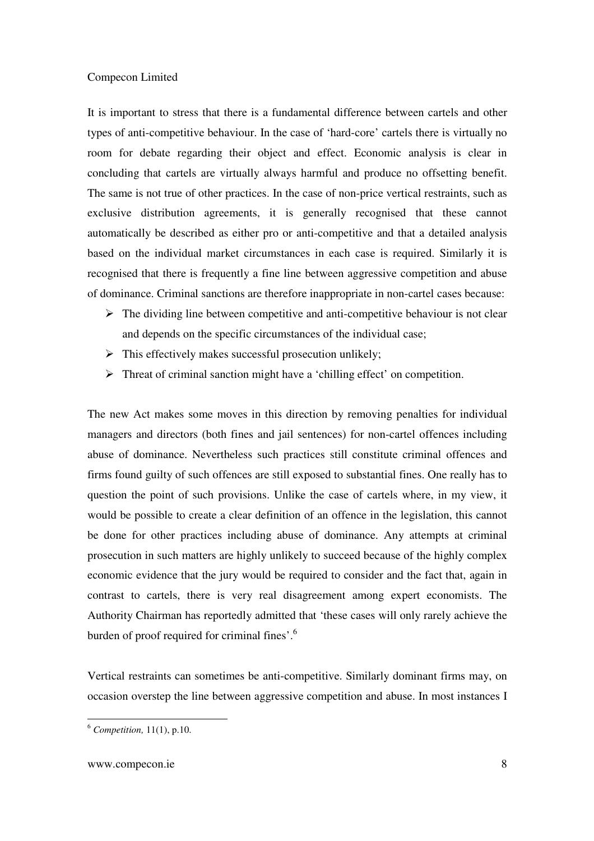It is important to stress that there is a fundamental difference between cartels and other types of anti-competitive behaviour. In the case of 'hard-core' cartels there is virtually no room for debate regarding their object and effect. Economic analysis is clear in concluding that cartels are virtually always harmful and produce no offsetting benefit. The same is not true of other practices. In the case of non-price vertical restraints, such as exclusive distribution agreements, it is generally recognised that these cannot automatically be described as either pro or anti-competitive and that a detailed analysis based on the individual market circumstances in each case is required. Similarly it is recognised that there is frequently a fine line between aggressive competition and abuse of dominance. Criminal sanctions are therefore inappropriate in non-cartel cases because:

- $\triangleright$  The dividing line between competitive and anti-competitive behaviour is not clear and depends on the specific circumstances of the individual case;
- $\triangleright$  This effectively makes successful prosecution unlikely;
- $\triangleright$  Threat of criminal sanction might have a 'chilling effect' on competition.

The new Act makes some moves in this direction by removing penalties for individual managers and directors (both fines and jail sentences) for non-cartel offences including abuse of dominance. Nevertheless such practices still constitute criminal offences and firms found guilty of such offences are still exposed to substantial fines. One really has to question the point of such provisions. Unlike the case of cartels where, in my view, it would be possible to create a clear definition of an offence in the legislation, this cannot be done for other practices including abuse of dominance. Any attempts at criminal prosecution in such matters are highly unlikely to succeed because of the highly complex economic evidence that the jury would be required to consider and the fact that, again in contrast to cartels, there is very real disagreement among expert economists. The Authority Chairman has reportedly admitted that 'these cases will only rarely achieve the burden of proof required for criminal fines'.<sup>6</sup>

Vertical restraints can sometimes be anti-competitive. Similarly dominant firms may, on occasion overstep the line between aggressive competition and abuse. In most instances I

<sup>-</sup><sup>6</sup> *Competition,* 11(1), p.10.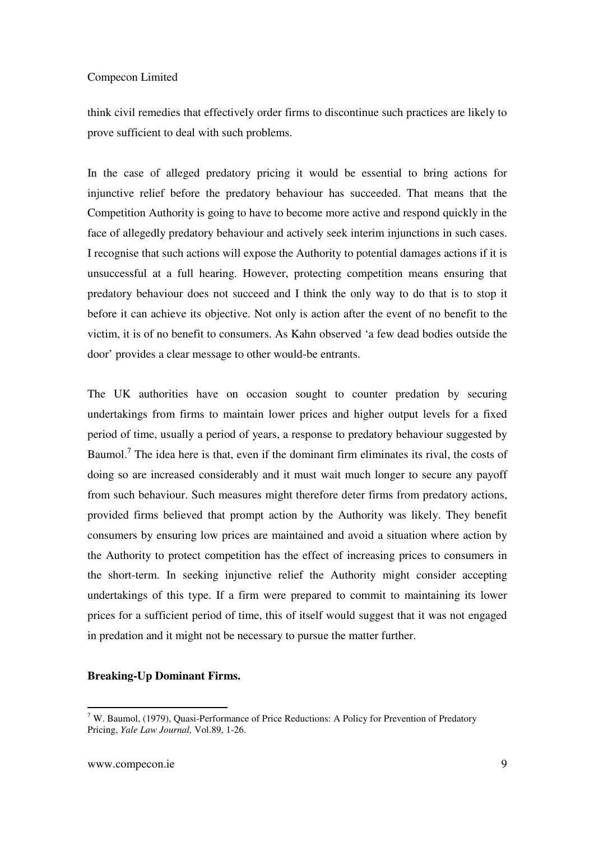think civil remedies that effectively order firms to discontinue such practices are likely to prove sufficient to deal with such problems.

In the case of alleged predatory pricing it would be essential to bring actions for injunctive relief before the predatory behaviour has succeeded. That means that the Competition Authority is going to have to become more active and respond quickly in the face of allegedly predatory behaviour and actively seek interim injunctions in such cases. I recognise that such actions will expose the Authority to potential damages actions if it is unsuccessful at a full hearing. However, protecting competition means ensuring that predatory behaviour does not succeed and I think the only way to do that is to stop it before it can achieve its objective. Not only is action after the event of no benefit to the victim, it is of no benefit to consumers. As Kahn observed 'a few dead bodies outside the door' provides a clear message to other would-be entrants.

The UK authorities have on occasion sought to counter predation by securing undertakings from firms to maintain lower prices and higher output levels for a fixed period of time, usually a period of years, a response to predatory behaviour suggested by Baumol.<sup>7</sup> The idea here is that, even if the dominant firm eliminates its rival, the costs of doing so are increased considerably and it must wait much longer to secure any payoff from such behaviour. Such measures might therefore deter firms from predatory actions, provided firms believed that prompt action by the Authority was likely. They benefit consumers by ensuring low prices are maintained and avoid a situation where action by the Authority to protect competition has the effect of increasing prices to consumers in the short-term. In seeking injunctive relief the Authority might consider accepting undertakings of this type. If a firm were prepared to commit to maintaining its lower prices for a sufficient period of time, this of itself would suggest that it was not engaged in predation and it might not be necessary to pursue the matter further.

#### **Breaking-Up Dominant Firms.**

 7 W. Baumol, (1979), Quasi-Performance of Price Reductions: A Policy for Prevention of Predatory Pricing, *Yale Law Journal,* Vol.89, 1-26.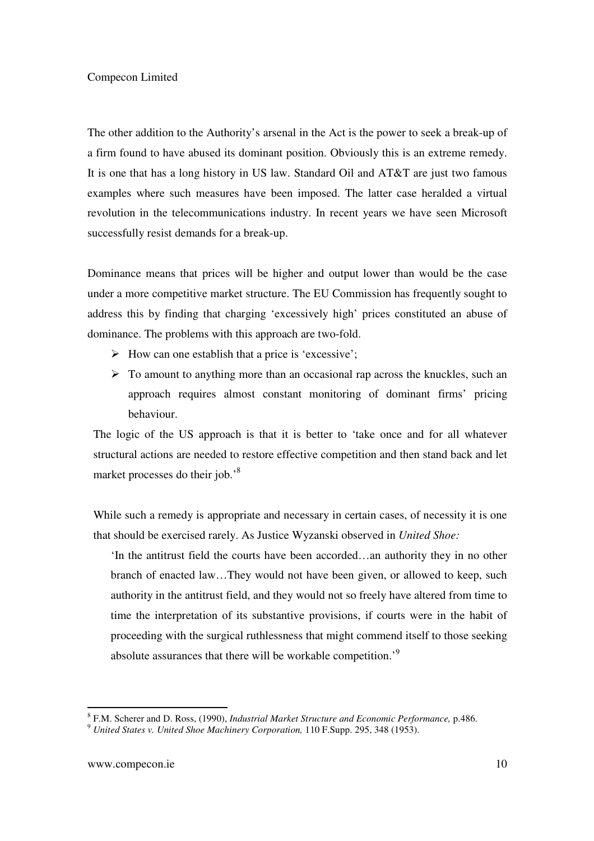The other addition to the Authority's arsenal in the Act is the power to seek a break-up of a firm found to have abused its dominant position. Obviously this is an extreme remedy. It is one that has a long history in US law. Standard Oil and AT&T are just two famous examples where such measures have been imposed. The latter case heralded a virtual revolution in the telecommunications industry. In recent years we have seen Microsoft successfully resist demands for a break-up.

Dominance means that prices will be higher and output lower than would be the case under a more competitive market structure. The EU Commission has frequently sought to address this by finding that charging 'excessively high' prices constituted an abuse of dominance. The problems with this approach are two-fold.

- $\triangleright$  How can one establish that a price is 'excessive';
- $\triangleright$  To amount to anything more than an occasional rap across the knuckles, such an approach requires almost constant monitoring of dominant firms' pricing behaviour.

The logic of the US approach is that it is better to 'take once and for all whatever structural actions are needed to restore effective competition and then stand back and let market processes do their job.<sup>8</sup>

While such a remedy is appropriate and necessary in certain cases, of necessity it is one that should be exercised rarely. As Justice Wyzanski observed in *United Shoe:* 

'In the antitrust field the courts have been accorded…an authority they in no other branch of enacted law…They would not have been given, or allowed to keep, such authority in the antitrust field, and they would not so freely have altered from time to time the interpretation of its substantive provisions, if courts were in the habit of proceeding with the surgical ruthlessness that might commend itself to those seeking absolute assurances that there will be workable competition.'<sup>9</sup>

-

<sup>8</sup> F.M. Scherer and D. Ross, (1990), *Industrial Market Structure and Economic Performance,* p.486.

<sup>9</sup> *United States v. United Shoe Machinery Corporation,* 110 F.Supp. 295, 348 (1953).